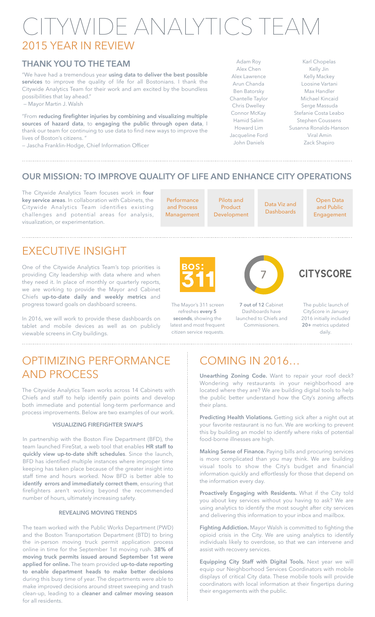# CITYWIDE ANALYTICS TEAM 2015 YEAR IN REVIEW

### **THANK YOU TO THE TEAM**

"We have had a tremendous year **using data to deliver the best possible services** to improve the quality of life for all Bostonians. I thank the Citywide Analytics Team for their work and am excited by the boundless possibilities that lay ahead." — Mayor Martin J. Walsh

"From **reducing firefighter injuries by combining and visualizing multiple sources of hazard data**, to **engaging the public through open data**, I thank our team for continuing to use data to find new ways to improve the lives of Boston's citizens. "

— Jascha Franklin-Hodge, Chief Information Officer

Adam Roy Alex Chen Alex Lawrence Arun Chanda Ben Batorsky Chantelle Taylor Chris Dwelley Connor McKay Hamid Salim Howard Lim Jacqueline Ford John Daniels

Karl Chopelas Kelly Jin Kelly Mackey Loosine Vartani Max Handler Michael Kincaid Serge Massuda Stefanie Costa Leabo Stephen Coussens Susanna Ronalds-Hanson Viral Amin Zack Shapiro

### **OUR MISSION: TO IMPROVE QUALITY OF LIFE AND ENHANCE CITY OPERATIONS**

The Citywide Analytics Team focuses work in **four key service areas**. In collaboration with Cabinets, the Citywide Analytics Team identifies existing challenges and potential areas for analysis, visualization, or experimentation.

**Performance** and Process Management

> The Mayor's 311 screen refreshes **every 5 seconds**, showing the latest and most frequent citizen service requests.

Pilots and Product Development

Data Viz and **Dashboards** 

Open Data and Public Engagement

## EXECUTIVE INSIGHT

One of the Citywide Analytics Team's top priorities is providing City leadership with data where and when they need it. In place of monthly or quarterly reports, we are working to provide the Mayor and Cabinet Chiefs **up-to-date daily and weekly metrics** and progress toward goals on dashboard screens.

In 2016, we will work to provide these dashboards on tablet and mobile devices as well as on publicly viewable screens in City buildings.

### OPTIMIZING PERFORMANCE AND PROCESS

The Citywide Analytics Team works across 14 Cabinets with Chiefs and staff to help identify pain points and develop both immediate and potential long-term performance and process improvements. Below are two examples of our work.

#### **VISUALIZING FIREFIGHTER SWAPS**

In partnership with the Boston Fire Department (BFD), the team launched FireStat, a web tool that enables **HR staff to quickly view up-to-date shift schedules**. Since the launch, BFD has identified multiple instances where improper time keeping has taken place because of the greater insight into staff time and hours worked. Now BFD is better able to **identify errors and immediately correct them**, ensuring that firefighters aren't working beyond the recommended number of hours, ultimately increasing safety.

#### **REVEALING MOVING TRENDS**

The team worked with the Public Works Department (PWD) and the Boston Transportation Department (BTD) to bring the in-person moving truck permit application process online in time for the September 1st moving rush. **38% of moving truck permits issued around September 1st were applied for online.** The team provided **up-to-date reporting to enable department heads to make better decisions** during this busy time of year. The departments were able to make improved decisions around street sweeping and trash clean-up, leading to a **cleaner and calmer moving season** for all residents.

## COMING IN 2016…

**Unearthing Zoning Code.** Want to repair your roof deck? Wondering why restaurants in your neighborhood are located where they are? We are building digital tools to help the public better understand how the City's zoning affects their plans.

**Predicting Health Violations.** Getting sick after a night out at your favorite restaurant is no fun. We are working to prevent this by building an model to identify where risks of potential food-borne illnesses are high.

**Making Sense of Finance.** Paying bills and procuring services is more complicated than you may think. We are building visual tools to show the City's budget and financial information quickly and effortlessly for those that depend on the information every day.

**Proactively Engaging with Residents.** What if the City told you about key services without you having to ask? We are using analytics to identify the most sought after city services and delivering this information to your inbox and mailbox.

**Fighting Addiction.** Mayor Walsh is committed to fighting the opioid crisis in the City. We are using analytics to identify individuals likely to overdose, so that we can intervene and assist with recovery services.

**Equipping City Staff with Digital Tools.** Next year we will equip our Neighborhood Services Coordinators with mobile displays of critical City data. These mobile tools will provide coordinators with local information at their fingertips during their engagements with the public.



**7 out of 12** Cabinet Dashboards have launched to Chiefs and

Commissioners.

7

**CITYSCORE** 

The public launch of CityScore in January 2016 initially included **20+** metrics updated daily.